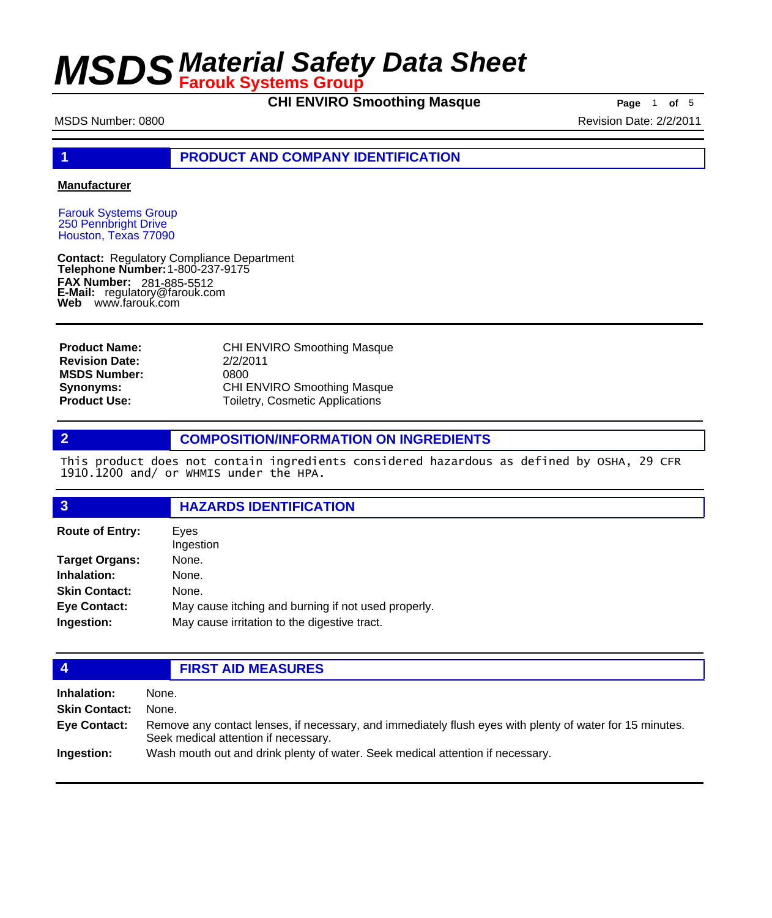**CHI ENVIRO Smoothing Masque Page** 1 of 5

MSDS Number: 0800 **Revision Date: 2/2/2011** 

# **1 PRODUCT AND COMPANY IDENTIFICATION**

### **Manufacturer**

Farouk Systems Group 250 Pennbright Drive Houston, Texas 77090

**Contact: Telephone Number: FAX Number: FAX Number:** 281-885-5512<br>**E-Mail:** regulatory@farouk.com **Web** www.farouk.com Regulatory Compliance Department 1-800-237-9175

CHI ENVIRO Smoothing Masque 2/2/2011 0800 CHI ENVIRO Smoothing Masque Toiletry, Cosmetic Applications **Product Name: Revision Date: MSDS Number: Synonyms: Product Use:**

# **2 COMPOSITION/INFORMATION ON INGREDIENTS**

This product does not contain ingredients considered hazardous as defined by OSHA, 29 CFR 1910.1200 and/ or WHMIS under the HPA.

### **3 HAZARDS IDENTIFICATION**

| <b>Route of Entry:</b> | Eves<br>Ingestion                                   |  |
|------------------------|-----------------------------------------------------|--|
| <b>Target Organs:</b>  | None.                                               |  |
| Inhalation:            | None.                                               |  |
| <b>Skin Contact:</b>   | None.                                               |  |
| <b>Eye Contact:</b>    | May cause itching and burning if not used properly. |  |
| Ingestion:             | May cause irritation to the digestive tract.        |  |

# **4 FIRST AID MEASURES**

| Inhalation:          | None.                                                                                                                                            |
|----------------------|--------------------------------------------------------------------------------------------------------------------------------------------------|
| <b>Skin Contact:</b> | None.                                                                                                                                            |
| Eye Contact:         | Remove any contact lenses, if necessary, and immediately flush eyes with plenty of water for 15 minutes.<br>Seek medical attention if necessary. |
| Ingestion:           | Wash mouth out and drink plenty of water. Seek medical attention if necessary.                                                                   |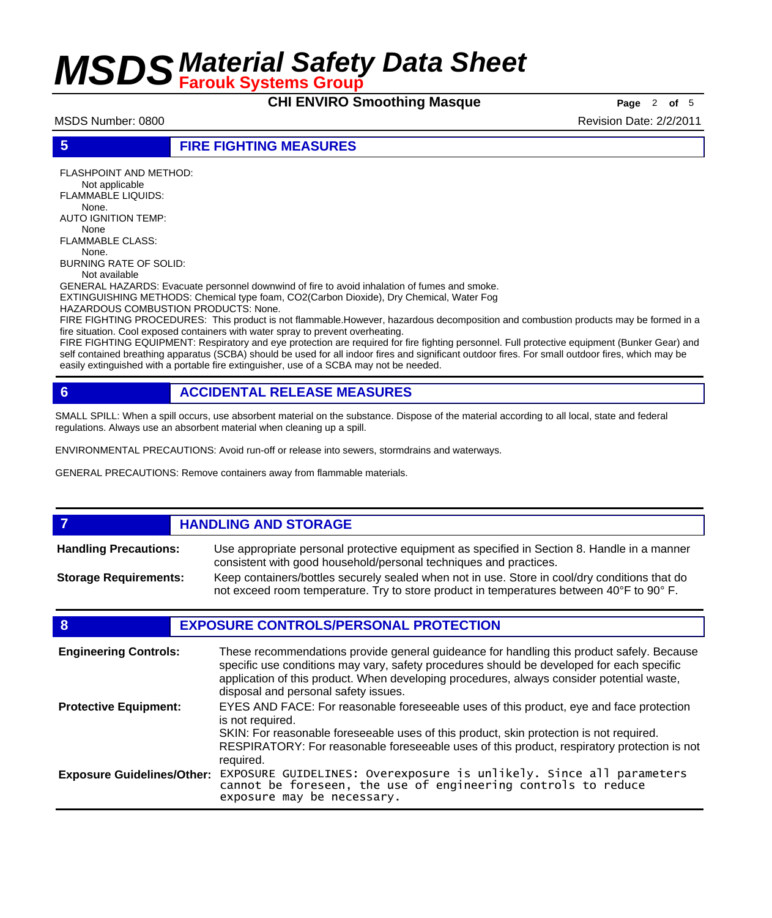**CHI ENVIRO Smoothing Masque** Page 2 of 5

MSDS Number: 0800 **Revision Date: 2/2/2011** Revision Date: 2/2/2011

# **5 FIRE FIGHTING MEASURES**

FLASHPOINT AND METHOD: Not applicable FLAMMABLE LIQUIDS: None. AUTO IGNITION TEMP: None FLAMMABLE CLASS:

 None. BURNING RATE OF SOLID:

Not available

GENERAL HAZARDS: Evacuate personnel downwind of fire to avoid inhalation of fumes and smoke. EXTINGUISHING METHODS: Chemical type foam, CO2(Carbon Dioxide), Dry Chemical, Water Fog

HAZARDOUS COMBUSTION PRODUCTS: None.

FIRE FIGHTING PROCEDURES: This product is not flammable.However, hazardous decomposition and combustion products may be formed in a fire situation. Cool exposed containers with water spray to prevent overheating.

FIRE FIGHTING EQUIPMENT: Respiratory and eye protection are required for fire fighting personnel. Full protective equipment (Bunker Gear) and self contained breathing apparatus (SCBA) should be used for all indoor fires and significant outdoor fires. For small outdoor fires, which may be easily extinguished with a portable fire extinguisher, use of a SCBA may not be needed.

# **6 ACCIDENTAL RELEASE MEASURES**

SMALL SPILL: When a spill occurs, use absorbent material on the substance. Dispose of the material according to all local, state and federal regulations. Always use an absorbent material when cleaning up a spill.

ENVIRONMENTAL PRECAUTIONS: Avoid run-off or release into sewers, stormdrains and waterways.

GENERAL PRECAUTIONS: Remove containers away from flammable materials.

### *HANDLING AND STORAGE* Use appropriate personal protective equipment as specified in Section 8. Handle in a manner consistent with good household/personal techniques and practices. **Handling Precautions:** Keep containers/bottles securely sealed when not in use. Store in cool/dry conditions that do not exceed room temperature. Try to store product in temperatures between 40°F to 90° F. **Storage Requirements:**

# **8 EXPOSURE CONTROLS/PERSONAL PROTECTION**

| <b>Engineering Controls:</b>      | These recommendations provide general guideance for handling this product safely. Because<br>specific use conditions may vary, safety procedures should be developed for each specific<br>application of this product. When developing procedures, always consider potential waste,<br>disposal and personal safety issues. |
|-----------------------------------|-----------------------------------------------------------------------------------------------------------------------------------------------------------------------------------------------------------------------------------------------------------------------------------------------------------------------------|
| <b>Protective Equipment:</b>      | EYES AND FACE: For reasonable foreseeable uses of this product, eye and face protection<br>is not required.<br>SKIN: For reasonable foreseeable uses of this product, skin protection is not required.<br>RESPIRATORY: For reasonable foreseeable uses of this product, respiratory protection is not<br>required.          |
| <b>Exposure Guidelines/Other:</b> | EXPOSURE GUIDELINES: Overexposure is unlikely. Since all parameters cannot be foreseen, the use of engineering controls to reduce<br>exposure may be necessary.                                                                                                                                                             |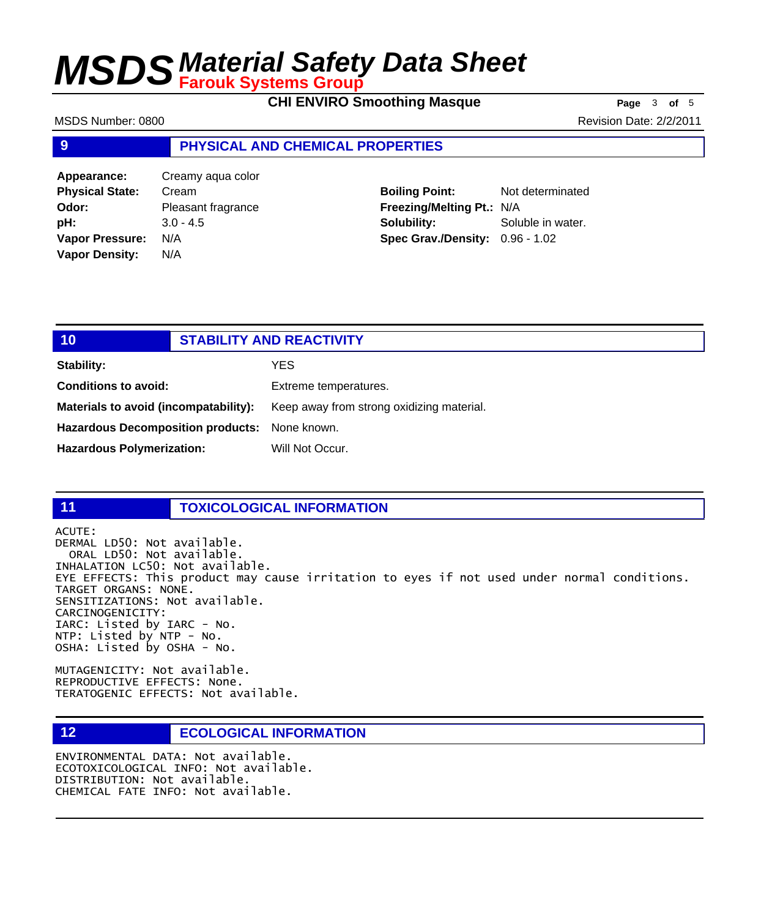**CHI ENVIRO Smoothing Masque Page** 3 of 5

MSDS Number: 0800 **Revision Date: 2/2/2011** 

### **9 PHYSICAL AND CHEMICAL PROPERTIES**

| Appearance:            | Creamy aqua color  |
|------------------------|--------------------|
| <b>Physical State:</b> | Cream              |
| Odor:                  | Pleasant fragrance |
| pH:                    | $3.0 - 4.5$        |
| <b>Vapor Pressure:</b> | N/A                |
| <b>Vapor Density:</b>  | N/A                |

**Boiling Point:** Not determinated **Freezing/Melting Pt.:** N/A **Solubility:** Soluble in water. **Spec Grav./Density:** 0.96 - 1.02

# **10 STABILITY AND REACTIVITY Stability:** YES **Conditions to avoid:** Extreme temperatures. Materials to avoid (incompatability): Keep away from strong oxidizing material. **Hazardous Decomposition products:** None known.

# **11 TOXICOLOGICAL INFORMATION**

ACUTE:

DERMAL LD50: Not available. ORAL LD50: Not available. INHALATION LC50: Not available. EYE EFFECTS: This product may cause irritation to eyes if not used under normal conditions. TARGET ORGANS: NONE. SENSITIZATIONS: Not available. CARCINOGENICITY: IARC: Listed by IARC - No. NTP: Listed by NTP - No. OSHA: Listed by OSHA - No.

MUTAGENICITY: Not available. REPRODUCTIVE EFFECTS: None. TERATOGENIC EFFECTS: Not available.

# **12 ECOLOGICAL INFORMATION**

Hazardous Polymerization: Will Not Occur.

ENVIRONMENTAL DATA: Not available. ECOTOXICOLOGICAL INFO: Not available. DISTRIBUTION: Not available. CHEMICAL FATE INFO: Not available.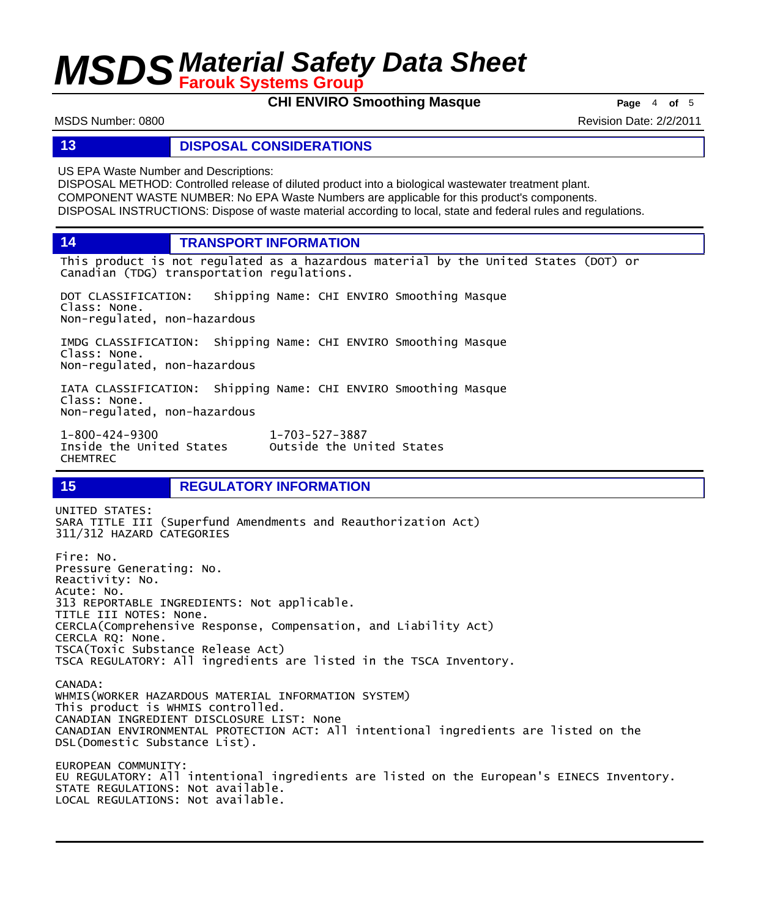**CHI ENVIRO Smoothing Masque Page** 4 of 5

MSDS Number: 0800 **Revision Date: 2/2/2011** Revision Date: 2/2/2011

# **13 DISPOSAL CONSIDERATIONS**

US EPA Waste Number and Descriptions:

DISPOSAL METHOD: Controlled release of diluted product into a biological wastewater treatment plant. COMPONENT WASTE NUMBER: No EPA Waste Numbers are applicable for this product's components. DISPOSAL INSTRUCTIONS: Dispose of waste material according to local, state and federal rules and regulations.

**14 TRANSPORT INFORMATION**

This product is not regulated as a hazardous material by the United States (DOT) or Canadian (TDG) transportation regulations.

DOT CLASSIFICATION: Shipping Name: CHI ENVIRO Smoothing Masque Class: None. Non-regulated, non-hazardous

IMDG CLASSIFICATION: Shipping Name: CHI ENVIRO Smoothing Masque Class: None. Non-regulated, non-hazardous

IATA CLASSIFICATION: Shipping Name: CHI ENVIRO Smoothing Masque Class: None. Non-regulated, non-hazardous

1-800-424-9300 1-703-527-3887 Outside the United States CHEMTREC

# **15 REGULATORY INFORMATION**

UNITED STATES: SARA TITLE III (Superfund Amendments and Reauthorization Act) 311/312 HAZARD CATEGORIES Fire: No. Pressure Generating: No. Reactivity: No. Acute: No. 313 REPORTABLE INGREDIENTS: Not applicable. TITLE III NOTES: None. CERCLA(Comprehensive Response, Compensation, and Liability Act) CERCLA RQ: None. TSCA(Toxic Substance Release Act) TSCA REGULATORY: All ingredients are listed in the TSCA Inventory. CANADA: WHMIS(WORKER HAZARDOUS MATERIAL INFORMATION SYSTEM) This product is WHMIS controlled. CANADIAN INGREDIENT DISCLOSURE LIST: None CANADIAN ENVIRONMENTAL PROTECTION ACT: All intentional ingredients are listed on the DSL(Domestic Substance List). EUROPEAN COMMUNITY: EU REGULATORY: All intentional ingredients are listed on the European's EINECS Inventory. STATE REGULATIONS: Not available. LOCAL REGULATIONS: Not available.